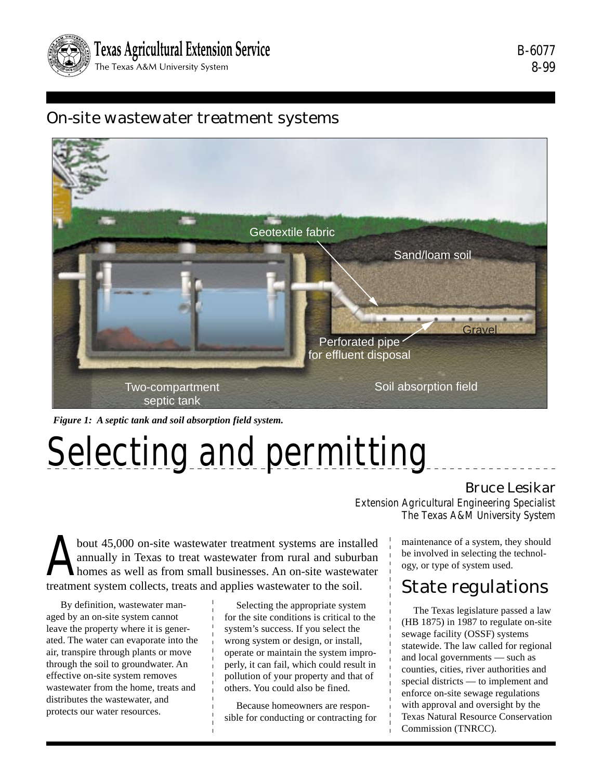

# On-site wastewater treatment systems



*Figure 1: A septic tank and soil absorption field system.*

# Selecting and permitting

# Bruce Lesikar

Extension Agricultural Engineering Specialist The Texas A&M University System

bout 45,000 on-site wastewater treatment systems are installed<br>annually in Texas to treat wastewater from rural and suburban<br>homes as well as from small businesses. An on-site wastewater<br>treatment system collects treats an annually in Texas to treat wastewater from rural and suburban homes as well as from small businesses. An on-site wastewater treatment system collects, treats and applies wastewater to the soil.

 By definition, wastewater managed by an on-site system cannot leave the property where it is generated. The water can evaporate into the air, transpire through plants or move through the soil to groundwater. An effective on-site system removes wastewater from the home, treats and distributes the wastewater, and protects our water resources.

Selecting the appropriate system for the site conditions is critical to the system's success. If you select the wrong system or design, or install, operate or maintain the system improperly, it can fail, which could result in pollution of your property and that of others. You could also be fined.

Because homeowners are responsible for conducting or contracting for maintenance of a system, they should be involved in selecting the technology, or type of system used.

# State regulations

The Texas legislature passed a law (HB 1875) in 1987 to regulate on-site sewage facility (OSSF) systems statewide. The law called for regional and local governments — such as counties, cities, river authorities and special districts — to implement and enforce on-site sewage regulations with approval and oversight by the Texas Natural Resource Conservation Commission (TNRCC).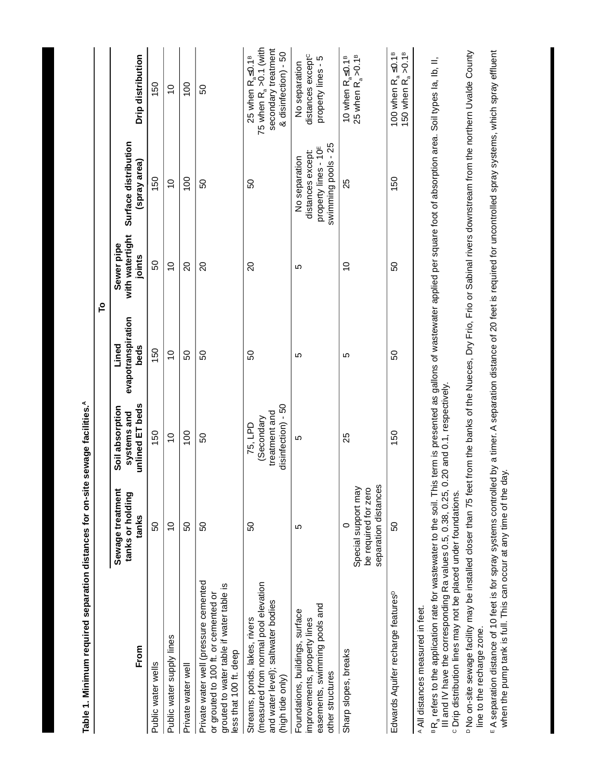|                                                                                                                                                                                                                                                                                                                                                                                                                                                                                                                                                                 |                                                                                |                                                              |                                     | P                                       |                                                                                               |                                                                                                      |
|-----------------------------------------------------------------------------------------------------------------------------------------------------------------------------------------------------------------------------------------------------------------------------------------------------------------------------------------------------------------------------------------------------------------------------------------------------------------------------------------------------------------------------------------------------------------|--------------------------------------------------------------------------------|--------------------------------------------------------------|-------------------------------------|-----------------------------------------|-----------------------------------------------------------------------------------------------|------------------------------------------------------------------------------------------------------|
| From                                                                                                                                                                                                                                                                                                                                                                                                                                                                                                                                                            | Sewage treatment<br>tanks or holding<br>tanks                                  | unlined ET beds<br>Soil absorption<br>systems and            | evapotranspiration<br>Lined<br>beds | with watertight<br>Sewer pipe<br>joints | Surface distribution<br>(spray area)                                                          | Drip distribution                                                                                    |
| Public water wells                                                                                                                                                                                                                                                                                                                                                                                                                                                                                                                                              | 50                                                                             | 150                                                          | 150                                 | 50                                      | 150                                                                                           | 150                                                                                                  |
| Public water supply lines                                                                                                                                                                                                                                                                                                                                                                                                                                                                                                                                       | $\overline{0}$                                                                 | $\overline{0}$                                               | $\overline{C}$                      | $\overline{C}$                          | $\overline{0}$                                                                                | $\frac{0}{1}$                                                                                        |
| Private water well                                                                                                                                                                                                                                                                                                                                                                                                                                                                                                                                              | <u>င</u> ္ဂ                                                                    | 100                                                          | 50                                  | $\Omega$                                | 100                                                                                           | 100                                                                                                  |
| Private water well (pressure cemented<br>grouted to water table if water table is<br>or grouted to 100 ft. or cemented or<br>less that 100 ft. deep                                                                                                                                                                                                                                                                                                                                                                                                             | SO                                                                             | 69                                                           | SO                                  | $\Omega$                                | SO                                                                                            | SO                                                                                                   |
| (measured from normal pool elevation<br>and water level); saltwater bodies<br>Streams, ponds, lakes, rivers<br>(high tide only)                                                                                                                                                                                                                                                                                                                                                                                                                                 | 8                                                                              | disinfection) - 50<br>treatment and<br>(Secondary<br>75, LPD | 89                                  | 20                                      | 89                                                                                            | 75 when $R_a > 0.1$ (with<br>secondary treatment<br>& disinfection) - 50<br>25 when $R_a \leq 0.1^B$ |
| easements, swimming pools and<br>Foundations, buildings, surface<br>improvements, property lines<br>other structures                                                                                                                                                                                                                                                                                                                                                                                                                                            | 5                                                                              | 5                                                            | 5                                   | 5                                       | swimming pools - 25<br>property lines - 10 <sup>E</sup><br>distances except:<br>No separation | distances except <sup>c</sup><br>property lines - 5<br>No separation                                 |
| Sharp slopes, breaks                                                                                                                                                                                                                                                                                                                                                                                                                                                                                                                                            | Special support may<br>be required for zero<br>separation distances<br>$\circ$ | 25                                                           | Ю                                   | $\overline{C}$                          | 25                                                                                            | 10 when $R_a \leq 0.1^B$<br>25 when $R_a > 0.1^B$                                                    |
| Edwards Aquifer recharge features <sup>p</sup>                                                                                                                                                                                                                                                                                                                                                                                                                                                                                                                  | SO                                                                             | 150                                                          | 50                                  | SO                                      | 150                                                                                           | 100 when R <sub>a</sub> ≤0.1 <sup>в</sup><br>150 when R <sub>a</sub> >0.1 <sup>в</sup>               |
| p No on-site sewage facility may be installed closer than 75 feet from the banks of the Nueces, Dry Frio, Frio or Sabinal rivers downstream from the northern Uvalde County<br><sup>B</sup> R <sub>a</sub> refers to the application rate for wastewater to the soil. This term is presented as gallons of wastewater applied per square foot of absorption area. Soil types la, lb, II,<br>III and IV have the corresponding Ra values 0.5, 0.38, 0.25,<br>c Drip distribution lines may not be placed under foundations.<br>A All distances measured in feet. |                                                                                | 0.20 and 0.1, respectively.                                  |                                     |                                         |                                                                                               |                                                                                                      |

<sup>∈</sup> A separation distance of 10 feet is for spray systems controlled by a timer. A separation distance of 20 feet is required for uncontrolled spray systems, which spray effluent<br>when the pump tank is full. This can occur A separation distance of 10 feet is for spray systems controlled by a timer. A separation distance of 20 feet is required for uncontrolled spray systems, which spray effluent when the pump tank is full. This can occur at any time of the day.ive on one corresponding<br>line to the recharge zone. line to the recharge zone.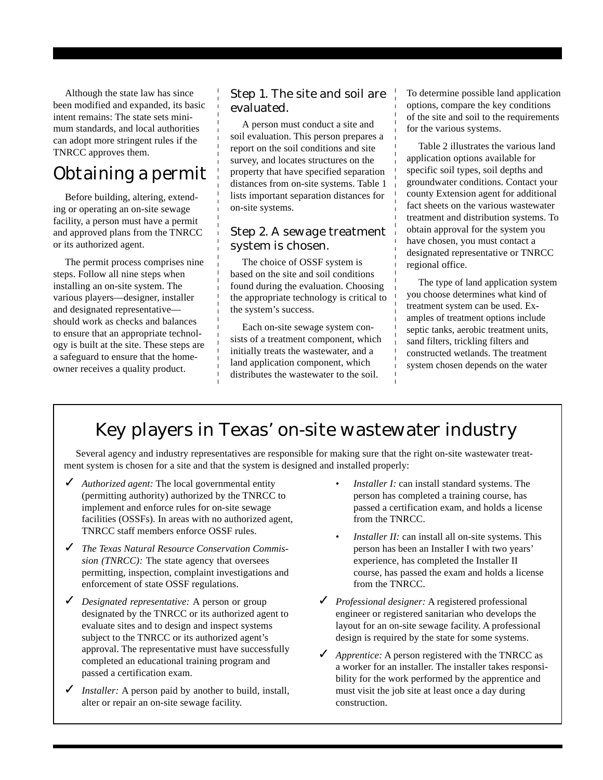Although the state law has since been modified and expanded, its basic intent remains: The state sets minimum standards, and local authorities can adopt more stringent rules if the TNRCC approves them.

# Obtaining a permit

Before building, altering, extending or operating an on-site sewage facility, a person must have a permit and approved plans from the TNRCC or its authorized agent.

The permit process comprises nine steps. Follow all nine steps when installing an on-site system. The various players—designer, installer and designated representative should work as checks and balances to ensure that an appropriate technology is built at the site. These steps are a safeguard to ensure that the homeowner receives a quality product.

## Step 1. The site and soil are evaluated.

A person must conduct a site and soil evaluation. This person prepares a report on the soil conditions and site survey, and locates structures on the property that have specified separation distances from on-site systems. Table 1 lists important separation distances for on-site systems.

## Step 2. A sewage treatment system is chosen.

The choice of OSSF system is based on the site and soil conditions found during the evaluation. Choosing the appropriate technology is critical to the system's success.

Each on-site sewage system consists of a treatment component, which initially treats the wastewater, and a land application component, which distributes the wastewater to the soil.

To determine possible land application options, compare the key conditions of the site and soil to the requirements for the various systems.

Table 2 illustrates the various land application options available for specific soil types, soil depths and groundwater conditions. Contact your county Extension agent for additional fact sheets on the various wastewater treatment and distribution systems. To obtain approval for the system you have chosen, you must contact a designated representative or TNRCC regional office.

The type of land application system you choose determines what kind of treatment system can be used. Examples of treatment options include septic tanks, aerobic treatment units, sand filters, trickling filters and constructed wetlands. The treatment system chosen depends on the water

# Key players in Texas' on-site wastewater industry

Several agency and industry representatives are responsible for making sure that the right on-site wastewater treatment system is chosen for a site and that the system is designed and installed properly:

- ✓ *Authorized agent:* The local governmental entity (permitting authority) authorized by the TNRCC to implement and enforce rules for on-site sewage facilities (OSSFs). In areas with no authorized agent, TNRCC staff members enforce OSSF rules.
- ✓ *The Texas Natural Resource Conservation Commission (TNRCC):* The state agency that oversees permitting, inspection, complaint investigations and enforcement of state OSSF regulations.
- ✓ *Designated representative:* A person or group designated by the TNRCC or its authorized agent to evaluate sites and to design and inspect systems subject to the TNRCC or its authorized agent's approval. The representative must have successfully completed an educational training program and passed a certification exam.
- ✓ *Installer:* A person paid by another to build, install, alter or repair an on-site sewage facility.
- *Installer I:* can install standard systems. The person has completed a training course, has passed a certification exam, and holds a license from the TNRCC.
- *Installer II:* can install all on-site systems. This person has been an Installer I with two years' experience, has completed the Installer II course, has passed the exam and holds a license from the TNRCC.
- ✓ *Professional designer:* A registered professional engineer or registered sanitarian who develops the layout for an on-site sewage facility. A professional design is required by the state for some systems.
- ✓ *Apprentice:* A person registered with the TNRCC as a worker for an installer. The installer takes responsibility for the work performed by the apprentice and must visit the job site at least once a day during construction.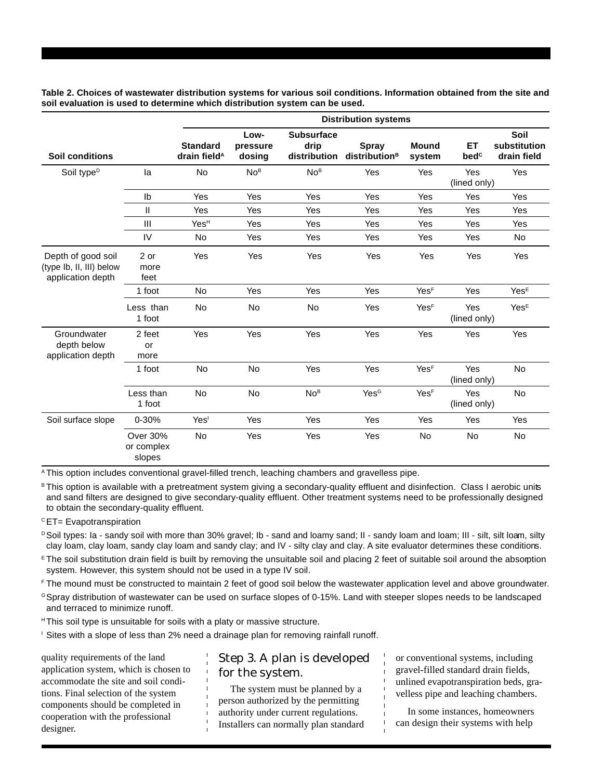**Distribution systems** Low- Subsurface Soil **Standard pressure drip Spray Mound ET substitution Soil conditions The arain field<sup>A</sup> dosing distribution distribution<sup>B</sup> system bed<sup>c</sup> drain field** Soil type<sup>p</sup> la No No<sup>в</sup> No<sup>в</sup> Yes Yes Yes Yes (lined only) Ib Yes Yes Yes Yes Yes Yes Yes II Yes Yes Yes Yes Yes Yes Yes III YesH Yes Yes Yes Yes Yes Yes IV No Yes Yes Yes Yes Yes No Depth of good soil 2 or Yes Yes Yes Yes Yes Yes Yes (type Ib, II, III) below more application depth feet 1 foot No Yes Yes Yes YesF Yes YesE Less than No No Yes Yes Yes<sup>E</sup> Yes Yes<sup>E</sup> 1 foot (lined only) Groundwater 2 feet Yes Yes Yes Yes Yes Yes Yes depth below or application depth more 1 foot No No Yes Yes YesF Yes No (lined only) Less than No No No<sup>в</sup> Yes<sup>c</sup> Yes<sup>r</sup> Yes No 1 foot (lined only) Soil surface slope 0-30% Yes<sup>1</sup> Yes Yes Yes Yes Yes Yes Yes Yes Over 30% No Yes Yes Yes No No No or complex slopes

**Table 2. Choices of wastewater distribution systems for various soil conditions. Information obtained from the site and soil evaluation is used to determine which distribution system can be used.**

<sup>A</sup> This option includes conventional gravel-filled trench, leaching chambers and gravelless pipe.

B This option is available with a pretreatment system giving a secondary-quality effluent and disinfection. Class I aerobic units and sand filters are designed to give secondary-quality effluent. Other treatment systems need to be professionally designed to obtain the secondary-quality effluent.

 $c$  ET= Evapotranspiration

- D Soil types: Ia sandy soil with more than 30% gravel; Ib sand and loamy sand; II sandy loam and loam; III silt, silt loam, silty clay loam, clay loam, sandy clay loam and sandy clay; and IV - silty clay and clay. A site evaluator determines these conditions.
- $E$ The soil substitution drain field is built by removing the unsuitable soil and placing 2 feet of suitable soil around the absorption system. However, this system should not be used in a type IV soil.
- <sup>F</sup> The mound must be constructed to maintain 2 feet of good soil below the wastewater application level and above groundwater.
- <sup>G</sup> Spray distribution of wastewater can be used on surface slopes of 0-15%. Land with steeper slopes needs to be landscaped and terraced to minimize runoff.
- <sup>H</sup> This soil type is unsuitable for soils with a platy or massive structure.
- <sup>1</sup> Sites with a slope of less than 2% need a drainage plan for removing rainfall runoff.

quality requirements of the land application system, which is chosen to accommodate the site and soil conditions. Final selection of the system components should be completed in cooperation with the professional designer.

## Step 3. A plan is developed for the system.

The system must be planned by a person authorized by the permitting authority under current regulations. Installers can normally plan standard or conventional systems, including gravel-filled standard drain fields, unlined evapotranspiration beds, gravelless pipe and leaching chambers.

In some instances, homeowners can design their systems with help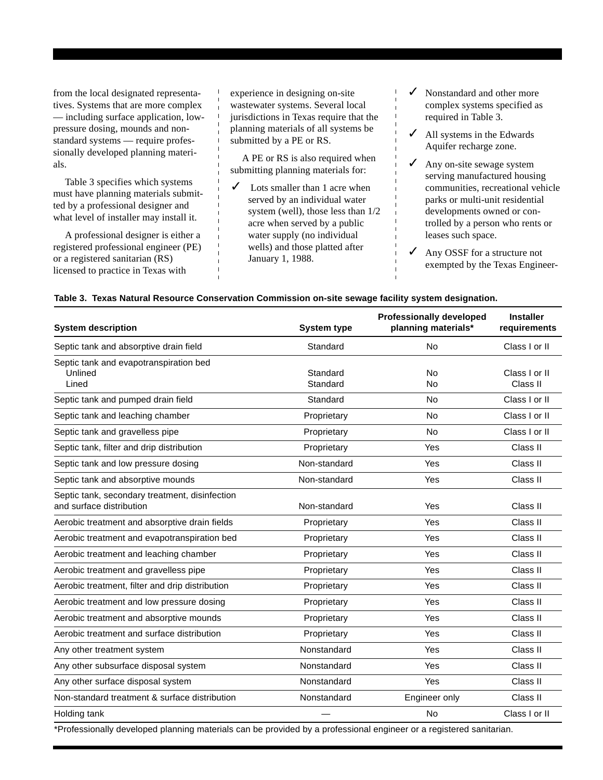from the local designated representatives. Systems that are more complex — including surface application, lowpressure dosing, mounds and nonstandard systems — require professionally developed planning materials.

Table 3 specifies which systems must have planning materials submitted by a professional designer and what level of installer may install it.

A professional designer is either a registered professional engineer (PE) or a registered sanitarian (RS) licensed to practice in Texas with

experience in designing on-site wastewater systems. Several local jurisdictions in Texas require that the planning materials of all systems be submitted by a PE or RS.

A PE or RS is also required when submitting planning materials for:

- Lots smaller than 1 acre when served by an individual water system (well), those less than 1/2 acre when served by a public water supply (no individual wells) and those platted after January 1, 1988.
- ✓ Nonstandard and other more complex systems specified as required in Table 3.
- $\angle$  All systems in the Edwards Aquifer recharge zone.
- Any on-site sewage system serving manufactured housing communities, recreational vehicle parks or multi-unit residential developments owned or controlled by a person who rents or leases such space.
- Any OSSF for a structure not exempted by the Texas Engineer-

#### **Table 3. Texas Natural Resource Conservation Commission on-site sewage facility system designation.**

| <b>System description</b>                                                  | <b>System type</b>   | <b>Professionally developed</b><br>planning materials* | <b>Installer</b><br>requirements |
|----------------------------------------------------------------------------|----------------------|--------------------------------------------------------|----------------------------------|
| Septic tank and absorptive drain field                                     | Standard             | <b>No</b>                                              | Class I or II                    |
| Septic tank and evapotranspiration bed<br>Unlined<br>Lined                 | Standard<br>Standard | <b>No</b><br>No                                        | Class I or II<br>Class II        |
| Septic tank and pumped drain field                                         | Standard             | <b>No</b>                                              | Class I or II                    |
| Septic tank and leaching chamber                                           | Proprietary          | No                                                     | Class I or II                    |
| Septic tank and gravelless pipe                                            | Proprietary          | <b>No</b>                                              | Class I or II                    |
| Septic tank, filter and drip distribution                                  | Proprietary          | Yes                                                    | Class II                         |
| Septic tank and low pressure dosing                                        | Non-standard         | Yes                                                    | Class II                         |
| Septic tank and absorptive mounds                                          | Non-standard         | Yes                                                    | Class II                         |
| Septic tank, secondary treatment, disinfection<br>and surface distribution | Non-standard         | Yes                                                    | Class II                         |
| Aerobic treatment and absorptive drain fields                              | Proprietary          | Yes                                                    | Class II                         |
| Aerobic treatment and evapotranspiration bed                               | Proprietary          | Yes                                                    | Class II                         |
| Aerobic treatment and leaching chamber                                     | Proprietary          | Yes                                                    | Class II                         |
| Aerobic treatment and gravelless pipe                                      | Proprietary          | Yes                                                    | Class II                         |
| Aerobic treatment, filter and drip distribution                            | Proprietary          | <b>Yes</b>                                             | Class II                         |
| Aerobic treatment and low pressure dosing                                  | Proprietary          | Yes                                                    | Class II                         |
| Aerobic treatment and absorptive mounds                                    | Proprietary          | Yes                                                    | Class II                         |
| Aerobic treatment and surface distribution                                 | Proprietary          | Yes                                                    | Class II                         |
| Any other treatment system                                                 | Nonstandard          | Yes                                                    | Class II                         |
| Any other subsurface disposal system                                       | Nonstandard          | Yes                                                    | Class II                         |
| Any other surface disposal system                                          | Nonstandard          | Yes                                                    | Class II                         |
| Non-standard treatment & surface distribution                              | Nonstandard          | Engineer only                                          | Class II                         |
| Holding tank                                                               |                      | <b>No</b>                                              | Class I or II                    |

\*Professionally developed planning materials can be provided by a professional engineer or a registered sanitarian.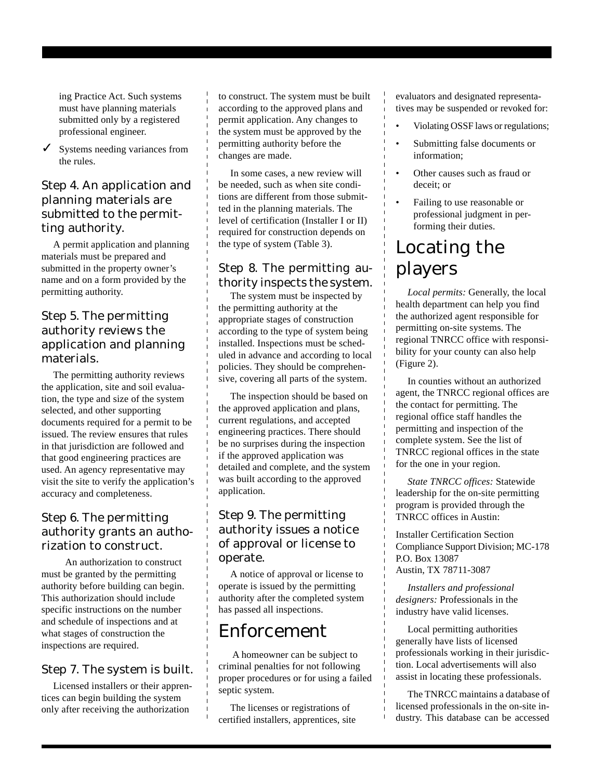ing Practice Act. Such systems must have planning materials submitted only by a registered professional engineer.

 $\checkmark$  Systems needing variances from the rules.

## Step 4. An application and planning materials are submitted to the permitting authority.

A permit application and planning materials must be prepared and submitted in the property owner's name and on a form provided by the permitting authority.

## Step 5. The permitting authority reviews the application and planning materials.

The permitting authority reviews the application, site and soil evaluation, the type and size of the system selected, and other supporting documents required for a permit to be issued. The review ensures that rules in that jurisdiction are followed and that good engineering practices are used. An agency representative may visit the site to verify the application's accuracy and completeness.

# Step 6. The permitting authority grants an authorization to construct.

 An authorization to construct must be granted by the permitting authority before building can begin. This authorization should include specific instructions on the number and schedule of inspections and at what stages of construction the inspections are required.

# Step 7. The system is built.

Licensed installers or their apprentices can begin building the system only after receiving the authorization

to construct. The system must be built according to the approved plans and permit application. Any changes to the system must be approved by the permitting authority before the changes are made.

In some cases, a new review will be needed, such as when site conditions are different from those submitted in the planning materials. The level of certification (Installer I or II) required for construction depends on the type of system (Table 3).

# Step 8. The permitting authority inspects the system.

The system must be inspected by the permitting authority at the appropriate stages of construction according to the type of system being installed. Inspections must be scheduled in advance and according to local policies. They should be comprehensive, covering all parts of the system.

The inspection should be based on the approved application and plans, current regulations, and accepted engineering practices. There should be no surprises during the inspection if the approved application was detailed and complete, and the system was built according to the approved application.

## Step 9. The permitting authority issues a notice of approval or license to operate.

A notice of approval or license to operate is issued by the permitting authority after the completed system has passed all inspections.

# Enforcement

 A homeowner can be subject to criminal penalties for not following proper procedures or for using a failed septic system.

The licenses or registrations of certified installers, apprentices, site evaluators and designated representatives may be suspended or revoked for:

- Violating OSSF laws or regulations;
- Submitting false documents or information;
- Other causes such as fraud or deceit; or
- Failing to use reasonable or professional judgment in performing their duties.

# Locating the players

*Local permits:* Generally, the local health department can help you find the authorized agent responsible for permitting on-site systems. The regional TNRCC office with responsibility for your county can also help (Figure 2).

In counties without an authorized agent, the TNRCC regional offices are the contact for permitting. The regional office staff handles the permitting and inspection of the complete system. See the list of TNRCC regional offices in the state for the one in your region.

*State TNRCC offices:* Statewide leadership for the on-site permitting program is provided through the TNRCC offices in Austin:

Installer Certification Section Compliance Support Division; MC-178 P.O. Box 13087 Austin, TX 78711-3087

*Installers and professional designers:* Professionals in the industry have valid licenses.

Local permitting authorities generally have lists of licensed professionals working in their jurisdiction. Local advertisements will also assist in locating these professionals.

The TNRCC maintains a database of licensed professionals in the on-site industry. This database can be accessed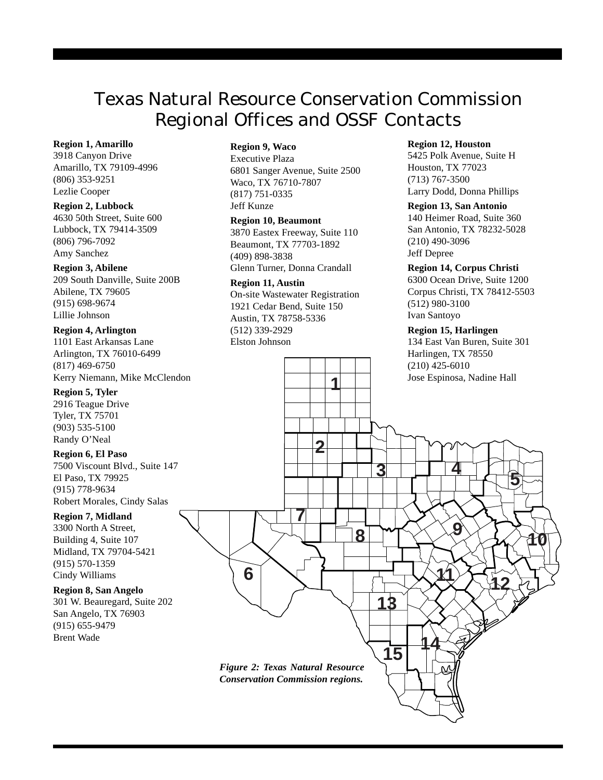# Texas Natural Resource Conservation Commission Regional Offices and OSSF Contacts

#### **Region 1, Amarillo**

3918 Canyon Drive Amarillo, TX 79109-4996 (806) 353-9251 Lezlie Cooper

#### **Region 2, Lubbock**

4630 50th Street, Suite 600 Lubbock, TX 79414-3509 (806) 796-7092 Amy Sanchez

#### **Region 3, Abilene**

209 South Danville, Suite 200B Abilene, TX 79605 (915) 698-9674 Lillie Johnson

#### **Region 4, Arlington**

1101 East Arkansas Lane Arlington, TX 76010-6499 (817) 469-6750 Kerry Niemann, Mike McClendon

#### **Region 5, Tyler**

2916 Teague Drive Tyler, TX 75701 (903) 535-5100 Randy O'Neal

#### **Region 6, El Paso**

7500 Viscount Blvd., Suite 147 El Paso, TX 79925 (915) 778-9634 Robert Morales, Cindy Salas

#### **Region 7, Midland**

3300 North A Street, Building 4, Suite 107 Midland, TX 79704-5421 (915) 570-1359 Cindy Williams

#### **Region 8, San Angelo**

301 W. Beauregard, Suite 202 San Angelo, TX 76903 (915) 655-9479 Brent Wade

### **Region 9, Waco**

Executive Plaza 6801 Sanger Avenue, Suite 2500 Waco, TX 76710-7807 (817) 751-0335 Jeff Kunze

#### **Region 10, Beaumont**

3870 Eastex Freeway, Suite 110 Beaumont, TX 77703-1892 (409) 898-3838 Glenn Turner, Donna Crandall

#### **Region 11, Austin**

On-site Wastewater Registration 1921 Cedar Bend, Suite 150 Austin, TX 78758-5336 (512) 339-2929 Elston Johnson

**1**

**2**

#### **Region 12, Houston**

5425 Polk Avenue, Suite H Houston, TX 77023 (713) 767-3500 Larry Dodd, Donna Phillips

#### **Region 13, San Antonio**

140 Heimer Road, Suite 360 San Antonio, TX 78232-5028 (210) 490-3096 Jeff Depree

#### **Region 14, Corpus Christi**

6300 Ocean Drive, Suite 1200 Corpus Christi, TX 78412-5503 (512) 980-3100 Ivan Santoyo

#### **Region 15, Harlingen**

134 East Van Buren, Suite 301 Harlingen, TX 78550 (210) 425-6010 Jose Espinosa, Nadine Hall